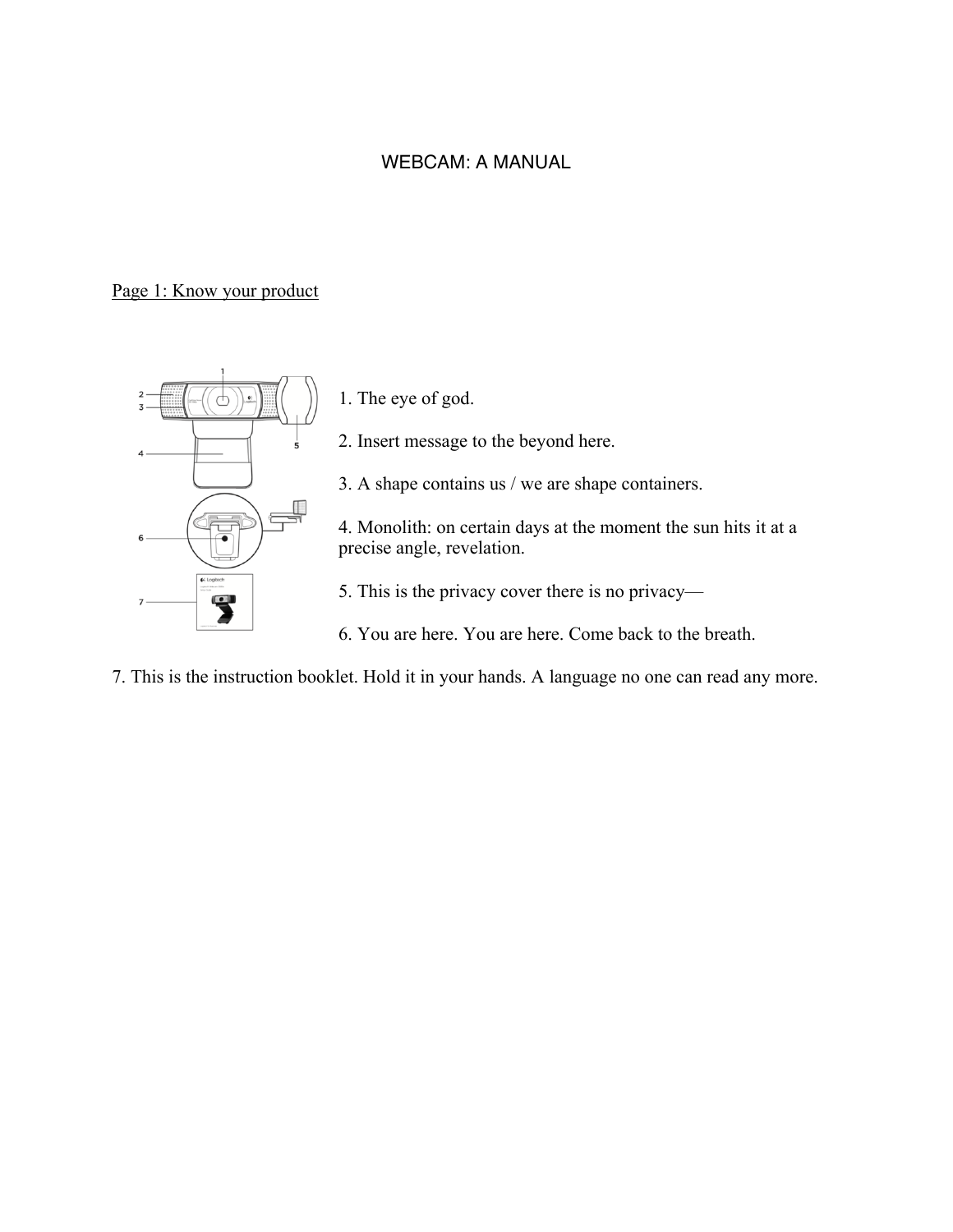#### WEBCAM: A MANUAL

#### Page 1: Know your product



1. The eye of god.

2. Insert message to the beyond here.

3. A shape contains us / we are shape containers.

4. Monolith: on certain days at the moment the sun hits it at a precise angle, revelation.

5. This is the privacy cover there is no privacy—

- 6. You are here. You are here. Come back to the breath.
- 7. This is the instruction booklet. Hold it in your hands. A language no one can read any more.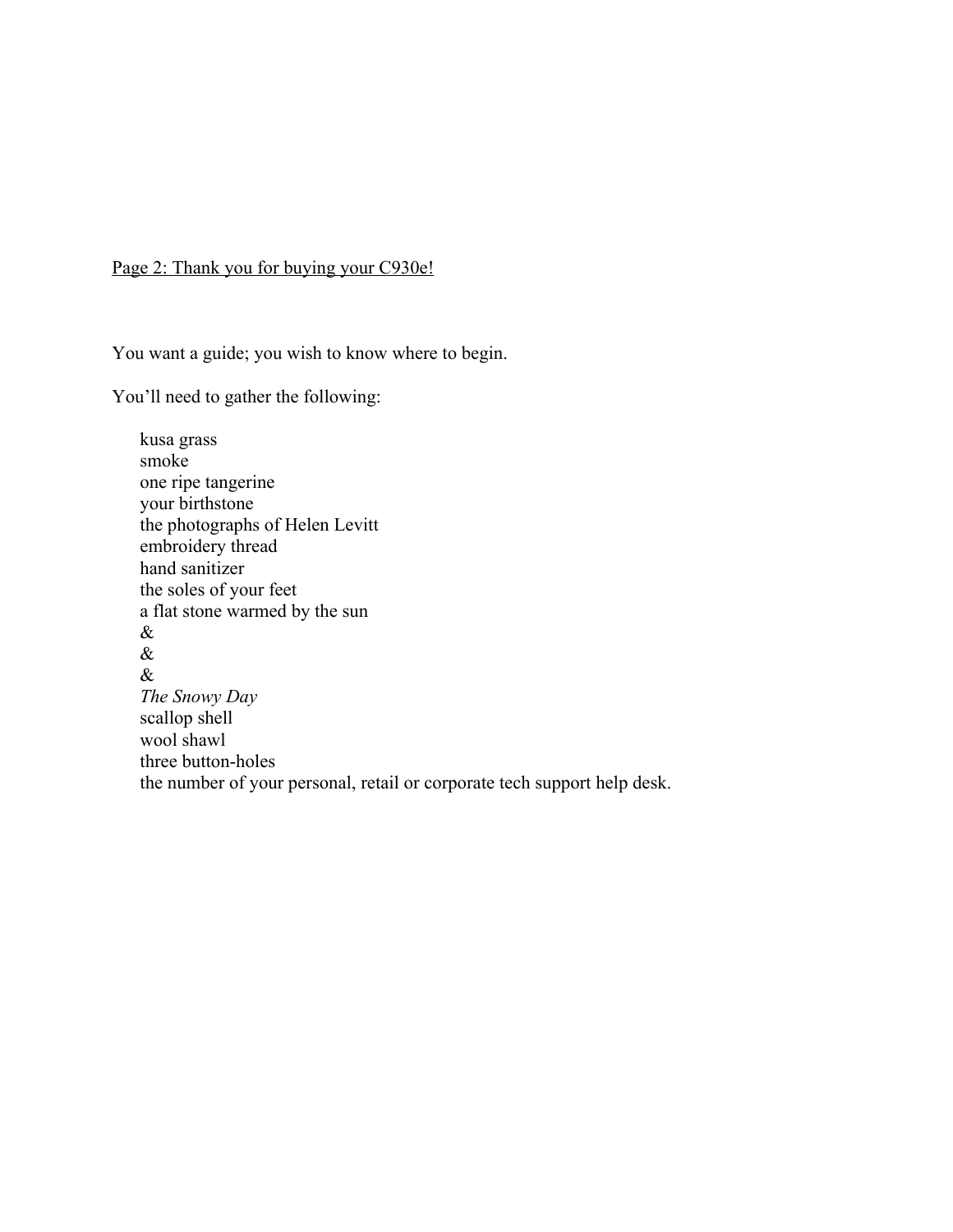### Page 2: Thank you for buying your C930e!

You want a guide; you wish to know where to begin.

You'll need to gather the following:

kusa grass smoke one ripe tangerine your birthstone the photographs of Helen Levitt embroidery thread hand sanitizer the soles of your feet a flat stone warmed by the sun & & & *The Snowy Day* scallop shell wool shawl three button-holes the number of your personal, retail or corporate tech support help desk.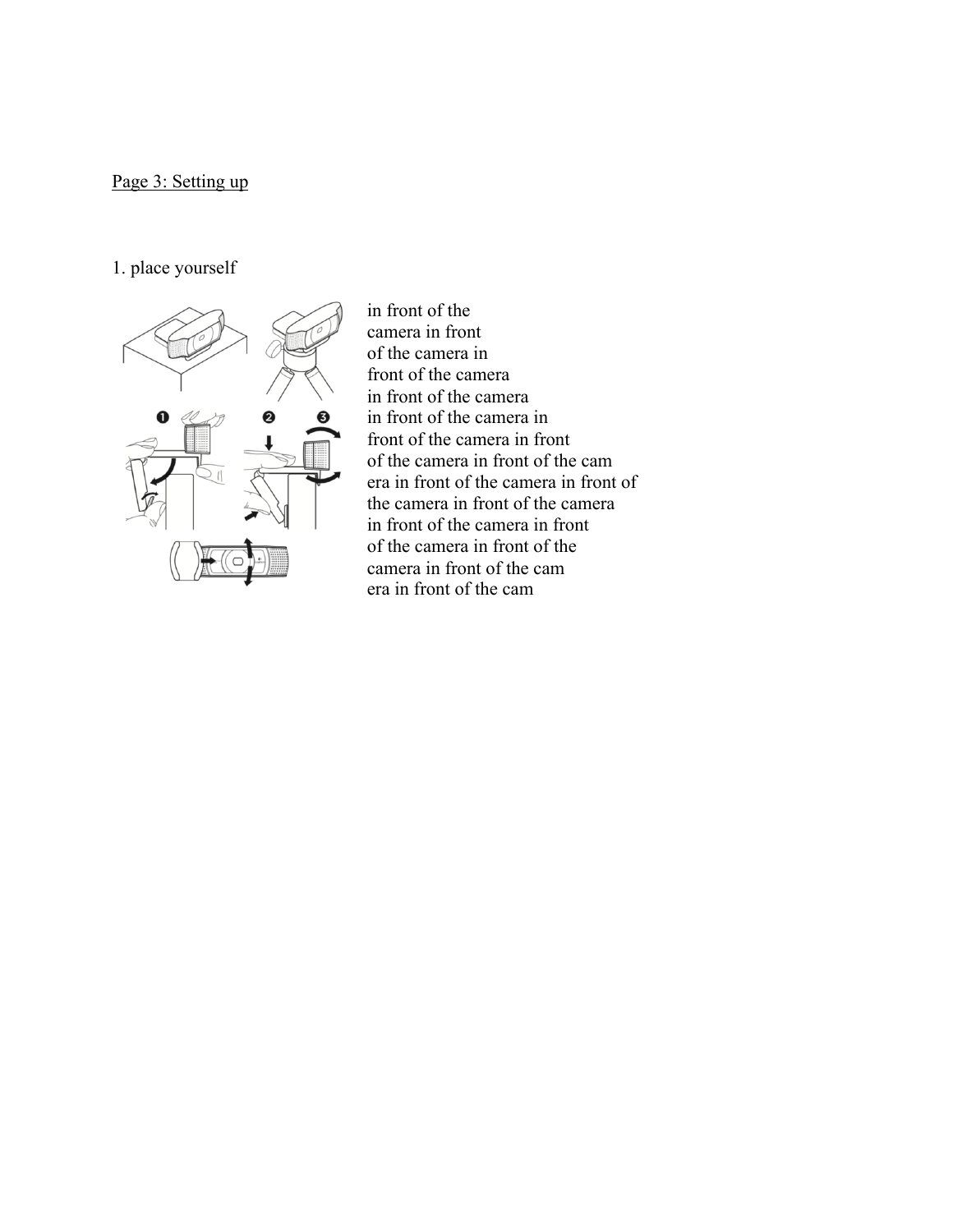# Page 3: Setting up

# 1. place yourself



in front of the camera in front of the camera in front of the camera in front of the camera in front of the camera in front of the camera in front of the camera in front of the cam era in front of the camera in front of the camera in front of the camera in front of the camera in front of the camera in front of the camera in front of the cam era in front of the cam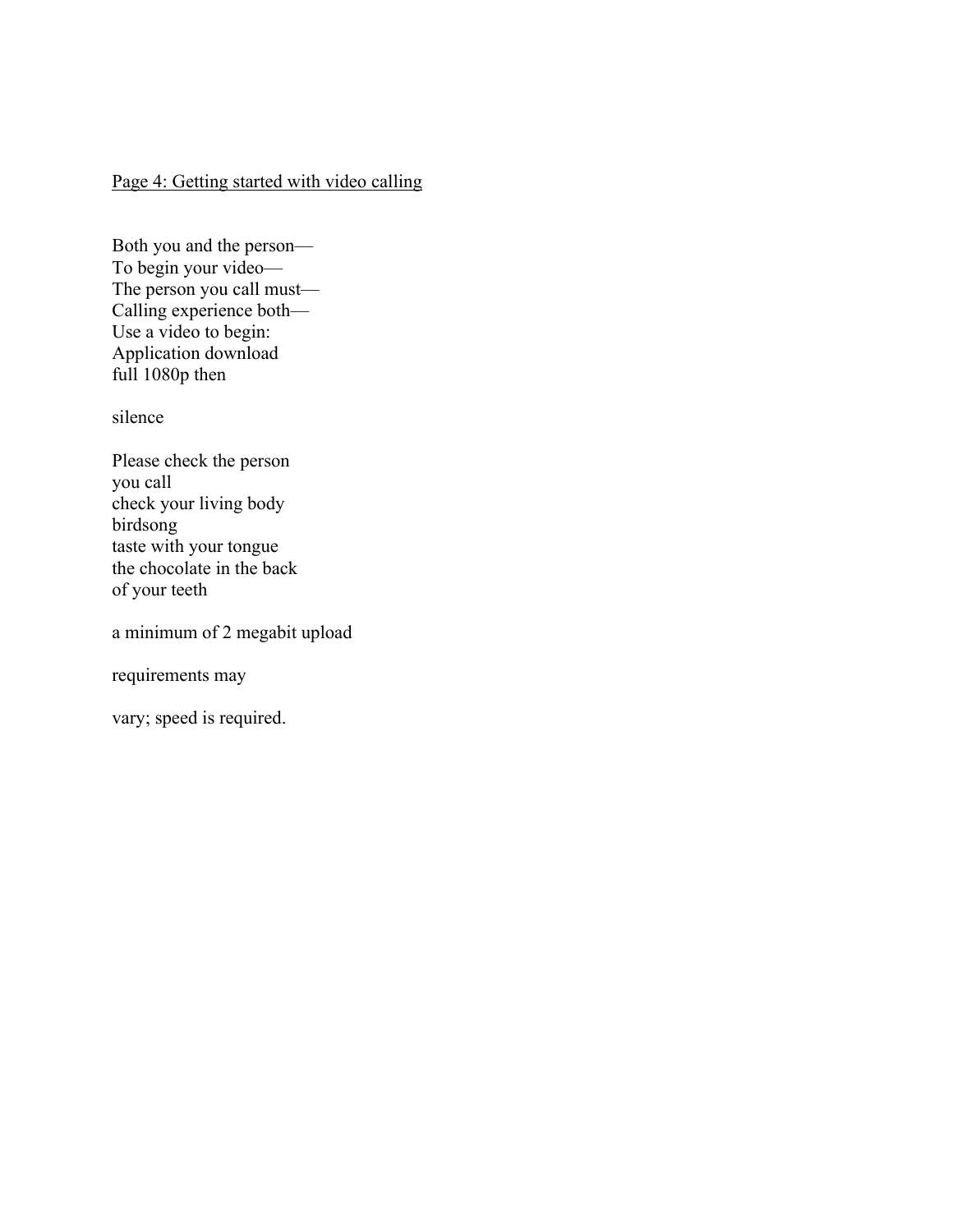## Page 4: Getting started with video calling

Both you and the person— To begin your video— The person you call must— Calling experience both— Use a video to begin: Application download full 1080p then

silence

Please check the person you call check your living body birdsong taste with your tongue the chocolate in the back of your teeth

a minimum of 2 megabit upload

requirements may

vary; speed is required.